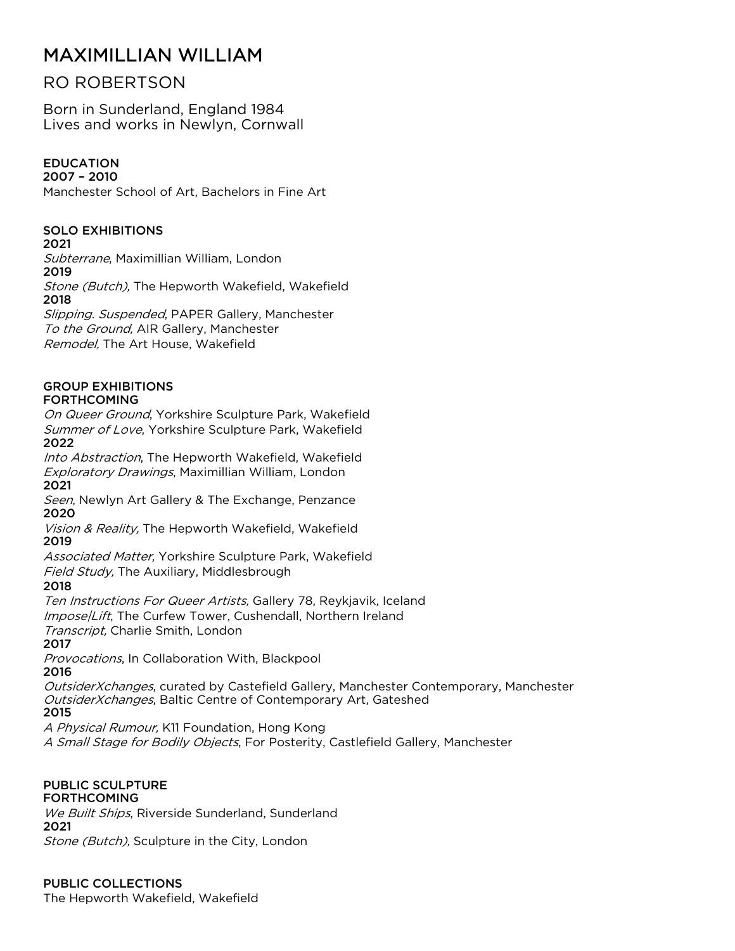# MAXIMILLIAN WILLIAM

# RO ROBERTSON

Born in Sunderland, England 1984 Lives and works in Newlyn, Cornwall

# EDUCATION

2007 – 2010 Manchester School of Art, Bachelors in Fine Art

# SOLO EXHIBITIONS

#### 2021

Subterrane, Maximillian William, London

2019

Stone (Butch), The Hepworth Wakefield, Wakefield 2018

Slipping. Suspended, PAPER Gallery, Manchester To the Ground, AIR Gallery, Manchester Remodel, The Art House, Wakefield

#### GROUP EXHIBITIONS FORTHCOMING

On Queer Ground, Yorkshire Sculpture Park, Wakefield Summer of Love, Yorkshire Sculpture Park, Wakefield 2022

Into Abstraction, The Hepworth Wakefield, Wakefield Exploratory Drawings, Maximillian William, London

2021

Seen, Newlyn Art Gallery & The Exchange, Penzance 2020

Vision & Reality, The Hepworth Wakefield, Wakefield 2019

Associated Matter, Yorkshire Sculpture Park, Wakefield

Field Study, The Auxiliary, Middlesbrough

2018

Ten Instructions For Queer Artists, Gallery 78, Reykjavik, Iceland Impose/Lift, The Curfew Tower, Cushendall, Northern Ireland Transcript, Charlie Smith, London

2017

Provocations, In Collaboration With, Blackpool 2016

OutsiderXchanges, curated by Castefield Gallery, Manchester Contemporary, Manchester OutsiderXchanges, Baltic Centre of Contemporary Art, Gateshed 2015

A Physical Rumour, K11 Foundation, Hong Kong

A Small Stage for Bodily Objects, For Posterity, Castlefield Gallery, Manchester

#### PUBLIC SCULPTURE FORTHCOMING

We Built Ships, Riverside Sunderland, Sunderland 2021 Stone (Butch), Sculpture in the City, London

PUBLIC COLLECTIONS

The Hepworth Wakefield, Wakefield